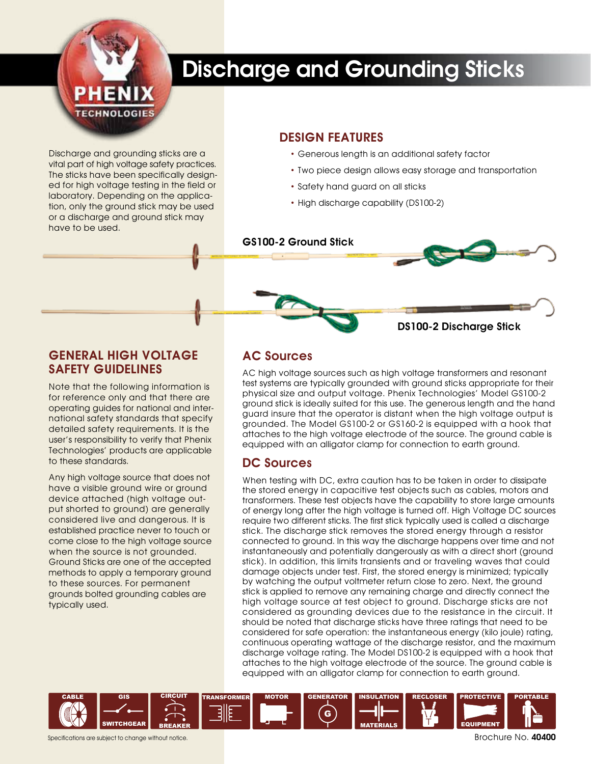

# Discharge and Grounding Sticks

Discharge and grounding sticks are a vital part of high voltage safety practices. The sticks have been specifically designed for high voltage testing in the field or laboratory. Depending on the application, only the ground stick may be used or a discharge and ground stick may have to be used.

#### DESIGN FEATURES

- Generous length is an additional safety factor
- Two piece design allows easy storage and transportation
- Safety hand guard on all sticks
- High discharge capability (DS100-2)



### General High Voltage Safety Guidelines

Note that the following information is for reference only and that there are operating guides for national and international safety standards that specify detailed safety requirements. It is the user's responsibility to verify that Phenix Technologies' products are applicable to these standards.

Any high voltage source that does not have a visible ground wire or ground device attached (high voltage output shorted to ground) are generally considered live and dangerous. It is established practice never to touch or come close to the high voltage source when the source is not grounded. Ground Sticks are one of the accepted methods to apply a temporary ground to these sources. For permanent grounds bolted grounding cables are typically used.

## AC Sources

AC high voltage sources such as high voltage transformers and resonant test systems are typically grounded with ground sticks appropriate for their physical size and output voltage. Phenix Technologies' Model GS100-2 ground stick is ideally suited for this use. The generous length and the hand guard insure that the operator is distant when the high voltage output is grounded. The Model GS100-2 or GS160-2 is equipped with a hook that attaches to the high voltage electrode of the source. The ground cable is equipped with an alligator clamp for connection to earth ground.

## DC Sources

When testing with DC, extra caution has to be taken in order to dissipate the stored energy in capacitive test objects such as cables, motors and transformers. These test objects have the capability to store large amounts of energy long after the high voltage is turned off. High Voltage DC sources require two different sticks. The first stick typically used is called a discharge stick. The discharge stick removes the stored energy through a resistor connected to ground. In this way the discharge happens over time and not instantaneously and potentially dangerously as with a direct short (ground stick). In addition, this limits transients and or traveling waves that could damage objects under test. First, the stored energy is minimized; typically by watching the output voltmeter return close to zero. Next, the ground stick is applied to remove any remaining charge and directly connect the high voltage source at test object to ground. Discharge sticks are not considered as grounding devices due to the resistance in the circuit. It should be noted that discharge sticks have three ratings that need to be considered for safe operation: the instantaneous energy (kilo joule) rating, continuous operating wattage of the discharge resistor, and the maximum discharge voltage rating. The Model DS100-2 is equipped with a hook that attaches to the high voltage electrode of the source. The ground cable is equipped with an alligator clamp for connection to earth ground.